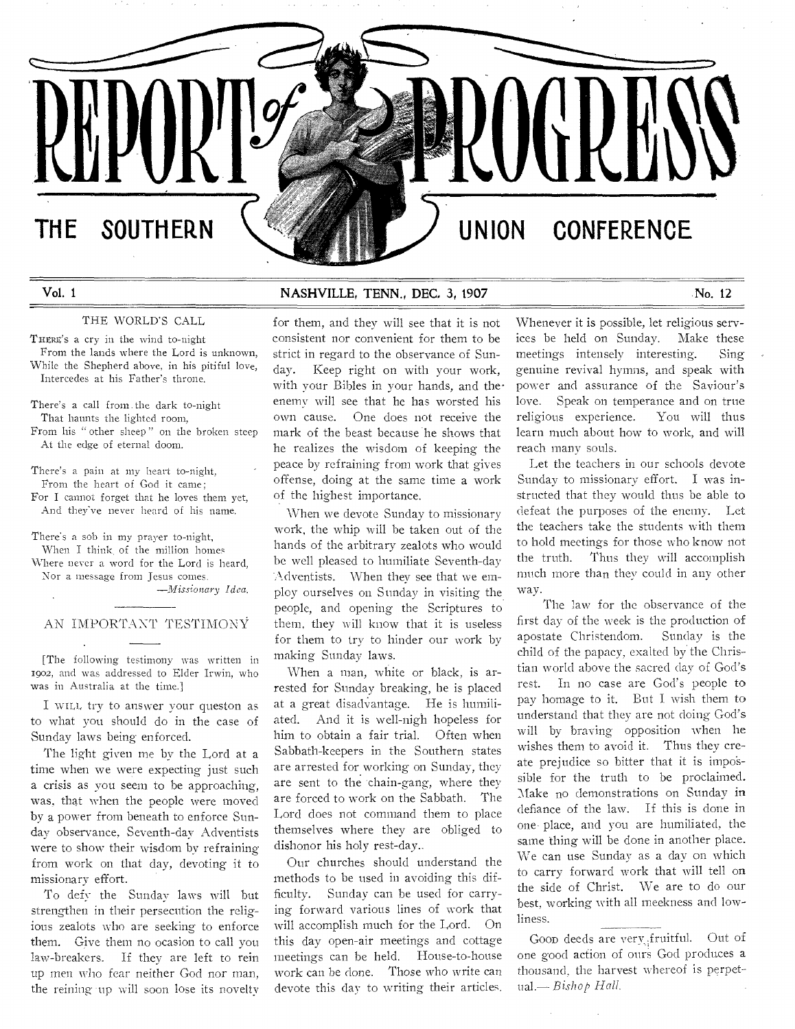# THE SOUTHERN  $\setminus$  **We have a set of the UNION CONFERENCE**

Vol. 1 **NASHVILLE, TENN., DEC. 3, 1907** No. 12

## THE WORLD'S CALL

THERE'S a cry in the wind to-night From the lands where the Lord is unknown, While the Shepherd above, in his pitiful love, Intercedes at his Father's throne.

There's **a call from .the dark** to-night That **haunts the lighted** room,

From his **"other sheep " on the** broken **steep**  At the **edge of eternal doom.** 

There's **a pain at my heart to-night,**  From **the heart of God it came;** 

For I **cannot forget that he loves** them yet, And **they've never heard of his** name.

There's **a sob in my prayer to-night, When I think, of the million homes** 

Where **never a word for the Lord is heard, Nor a message from Jesus comes.**  *—Missionary Idea.* 

# AN IMPORTANT TESTIMONY

**[The following testimony was written** in 1902, **and was addressed to Elder Irwin,** who was **in Australia at the time.]** 

I WILL, try to answer your queston as to what you should do in the case of Sunday laws being enforced.

The light given me by the Lord at a time when we were expecting just such a crisis as you seem to be approaching, was, that when the people were moved by a power from beneath to enforce Sunday observance, Seventh-day Adventists were to show their wisdom by refraining from work on that day, devoting it to missionary effort.

To defy the Sunday laws will but strengthen in their persecution the religious zealots who are seeking to enforce them. Give them no ocasion to call you law-breakers. If they are left to rein up men who fear neither God nor man, the reining 'up will soon lose its novelty

for them, and they will see that it is not consistent nor convenient for them to be strict in regard to the observance of Sunday. Keep right on with your work, with your Bibles in your hands, and theenemy will see that he has worsted his own cause. One does not receive the mark of the beast because he shows that he realizes the wisdom of keeping the peace by refraining from work that gives offense, doing at the same time a work of the highest importance.

When we devote Sunday to missionary work, the whip will be taken out of the hands of the arbitrary zealots who would be well pleased to humiliate Seventh-day -Adventists. When they see that we employ ourselves on Sunday in visiting the. people, and opening the Scriptures to them, they will know that it is useless for them to try to hinder our work by making Sunday laws.

When a man, white or black, is arrested for Sunday breaking, he is placed at a great disadvantage. He is humiliated. And it is well-nigh hopeless for him to obtain a fair trial. Often when Sabbath-keepers in the Southern states are arrested for working on Sunday, they are sent to the chain-gang, where they are forced to work on the Sabbath. The Lord does not command them to place themselves where they are obliged to dishonor his holy rest-day..

Our churches should understand the methods to be used in avoiding this difficulty. Sunday can be used for carrying forward various lines of work that will accomplish much for the Lord. On this day open-air meetings and cottage meetings can be held. House-to-house work can be done. Those who write can devote this day **to** writing their articles.

Whenever it is possible, let religious services be held on Sunday. Make these meetings intensely interesting. Sing genuine revival hymns, and speak with power and assurance of the Saviour's love. Speak on temperance and on true religious experience. You will thus learn much about how to work, and will reach many souls.

Let the teachers in our schools devote Sunday to missionary effort. I was instructed that they would thus be able to defeat the purposes of the enemy. Let the teachers take the students with them to hold meetings for those who know not the truth. Thus they will accomplish much more than they could in any other way.

The law for the observance of the first day of the week is the production of<br>apostate Christendom. Sunday is the apostate Christendom. child of the papacy, **exalted** by' the Christian world above **the sacred clay** of God's rest. In **no case are God's** people to pay homage to it. But **I wish** them to understand that they are **not** doing God's will by braving opposition when he wishes them to avoid it. Thus they create prejudice so bitter that it is impossible for the truth to be proclaimed. Make no demonstrations on Sunday in defiance of the law. If this is done in one. place, and you are humiliated, the same thing will be done in another place. We can use Sunday as a day on which to carry forward work that will tell on the side of Christ. We are to do our best, working with all meekness and lowliness.

Goon deeds are very fruitful. Out of one good action **of ours.God produces a**  thousand, the **harvest whereof is perpetual.—** *Bishop Hall.*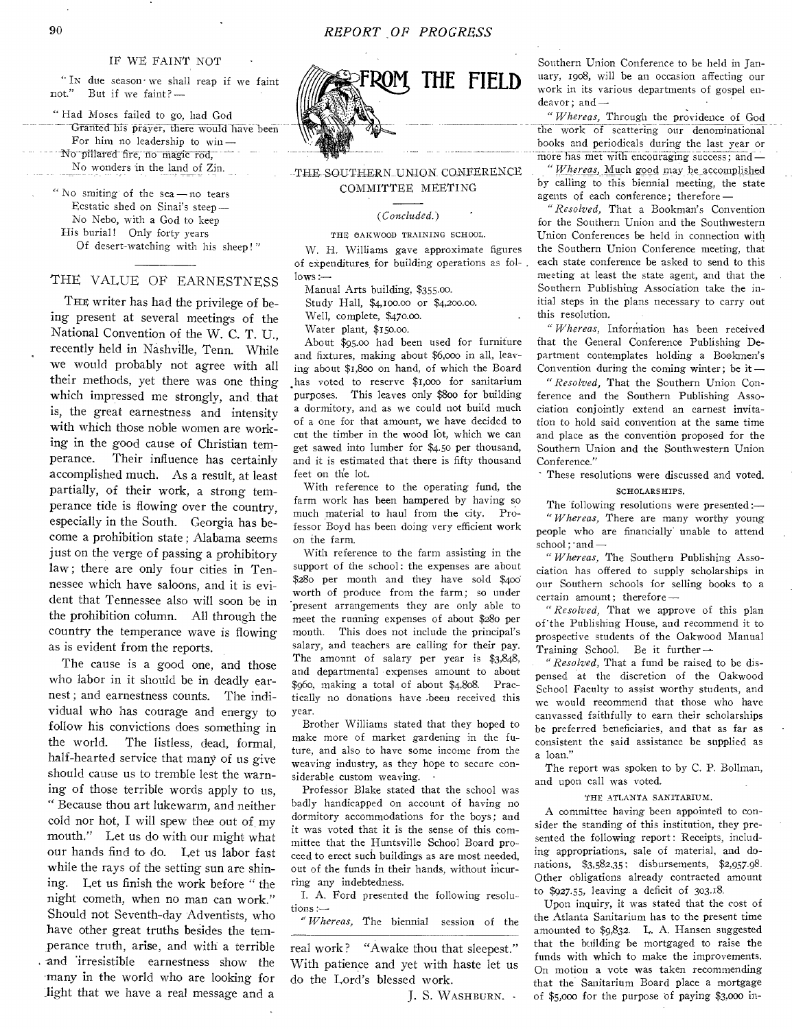#### IF WE FAINT NOT

" In due season' we shall reap if we faint not." But if we faint?  $-$ But if we faint? -

" Had Moses failed to go, had God Granted his prayer, there would have been For him no leadership to win — No pillared fire, no magic rod,

No wonders in the land of Zin.

" No smiting' of the sea — no tears Ecstatic shed on Sinai's steep— No Nebo, with a God to keep His burial! Only forty years Of desert-watching with his sheep ! "

THE VALUE OF EARNESTNESS

THE writer has had the privilege of being present at several meetings of the National Convention of the W. C. T. U., recently held in Nashville, Tenn. While we would probably not agree with all their methods, yet there was one thing which impressed me strongly, and that is, the great earnestness and intensity with which those noble women are working in the good cause of Christian temperance. Their influence has certainly accomplished much. As a result, at least partially, of their work, a strong temperance tide is flowing over the country, especially in the South. Georgia has become a prohibition state ; Alabama seems just on the verge of passing a prohibitory law; there are only four cities in Tennessee which have saloons, and it is evident that Tennessee also will soon be in the prohibition column. All through the country the temperance wave is flowing as is evident from the reports.

The cause is a good one, and those who labor in it should be in deadly earnest ; and earnestness counts. The individual who has courage and energy to follow his convictions does something in the world. The listless, dead, formal, half-hearted service that many of us give should cause us to tremble lest the warning of those terrible words apply to us, " Because thou art lukewarm, and neither cold nor hot, I will spew thee out of my mouth." Let us do with our might what our hands find to do. Let us labor fast while the rays of the setting sun are shining. Let us finish the work before " the night cometh, when no man can work." Should not Seventh-day Adventists, who have other great truths besides the temperance truth, arise, and with a terrible and irresistible earnestness show the many in the world who are looking for light that we have a real message and a



# THE SOUTHERN UNION CONFERENCE COMMITTEE MEETING

#### *(Concluded.)*

#### THE OAKWOOD TRAINING SCHOOL.

W. H. Williams gave approximate figures of expenditures. for building operations as fol- .  $lows :=$ 

Manual Arts building, \$355.00. Study Hall, \$4,Ioo.00 or \$4,200.00.

Well, complete, \$470.00.

Water plant, \$150.00.

About \$95.00 had been used for furniture and fixtures, making about \$6,000 in all, leaving about \$1,800 on hand, of which the Board has voted to reserve \$1,000 for sanitarium purposes. This leaves only \$800 for building a dormitory, and as we could not build much of a one for that amount, we have decided to cut the timber in the wood lot, which we can get sawed into lumber for \$4.50 per thousand, and it is estimated that there is fifty thousand feet on the lot.

With reference to the operating fund, the farm work has been hampered by having so much material to haul from the city. Professor Boyd has been doing very efficient work on the farm.

With reference to the farm assisting in the support of the school: the expenses are about \$280 per month and they have sold \$4od worth of produce from the farm; so under present arrangements they are only able to meet the running expenses of about \$280 per month. This does not include the principal's salary, and teachers are calling for their pay. The amount of salary per year is \$3,848, and departmental expenses amount to about \$960, making a total of about \$4,808. Practically no donations have .been received this year.

Brother Williams stated that they hoped to make more of market gardening in the future, and also to have some income from the weaving industry, as they hope to secure considerable custom weaving.

Professor Blake stated that the school was badly handicapped on account of having no dormitory accommodations for the boys; and it was voted that it is the sense of this committee that the Huntsville School Board proceed to erect such buildings as are most needed, out of the funds in their hands, without incurring any indebtedness.

I. A. Ford presented the following resolutions :-

" *Whereas,* The biennial session of the

real work? "Awake thou that sleepest." With patience and yet with haste let us do the Lord's blessed work.

J. S. WASHBURN.

Southern Union Conference to be held in January, 1908, will be an occasion affecting our work in its various departments of gospel endeavor; and—

*"Whereas,* Through the providence of God the work of scattering our denominational books and periodicals during the last year or more has met with encouraging success; and *—* 

*"Whereas,* Much good may be\_accomplished by calling to this biennial meeting, the state agents of each conference; therefore—

" *Resolved,* That a Bookman's Convention for the Southern Union and the Southwestern Union Conferences be held in connection with the Southern Union Conference meeting, that each state conference be asked to send to this meeting at least the state agent, and that the Southern Publishing Association take the initial steps in the plans necessary to carry out this resolution.

*"Whereas,* Information has been received that the General Conference Publishing Department contemplates holding a Bookmen's Convention during the coming winter; be it—

"*Resolved,* That the Southern Union Conference and the Southern Publishing Association conjointly extend an earnest invitation to hold said convention at the same time and place as the convention proposed for the Southern Union and the Southwestern Union Conference."

These resolutions were discussed and voted.

SCHOLARSHIPS.

The following resolutions were presented :— *"Whereas,* There are many worthy young people who are financially' unable to attend school; and -

" *Whereas,* The Southern Publishing Association has offered to supply scholarships in our Southern schools for selling books to a certain amount; therefore—

" *Resolved,* That we approve of this plan of' the Publishing House, and recommend it to prospective students of the Oakwood Manual Training School. Be it further *—* 

*"Resolved,* That a fund be raised to be dispensed at the discretion of the Oakwood School Faculty to assist worthy students, and we would recommend that those who have canvassed faithfully to earn their scholarships be preferred beneficiaries, and that as far as consistent the said assistance be supplied as a loan."

The report was spoken to by C. P. Bollman, and upon call was voted.

#### THE ATLANTA SANITARIUM.

A committee having been appointed to consider the standing of this institution, they presented the following report: Receipts, including appropriations, sale of material, and donations, \$3,582.35; disbursements, \$2,957.98. Other obligations already contracted amount to \$927.55, leaving a deficit of 303.18.

Upon inquiry, it was stated that the cost of the Atlanta Sanitarium has to the present time amounted to \$9,832. L. A. Hansen suggested that the building be mortgaged to raise the funds with which to make the improvements. On motion a vote was taken recommending that the Sanitarium Board place a mortgage of \$5,000 for the purpose of paying \$3,000 in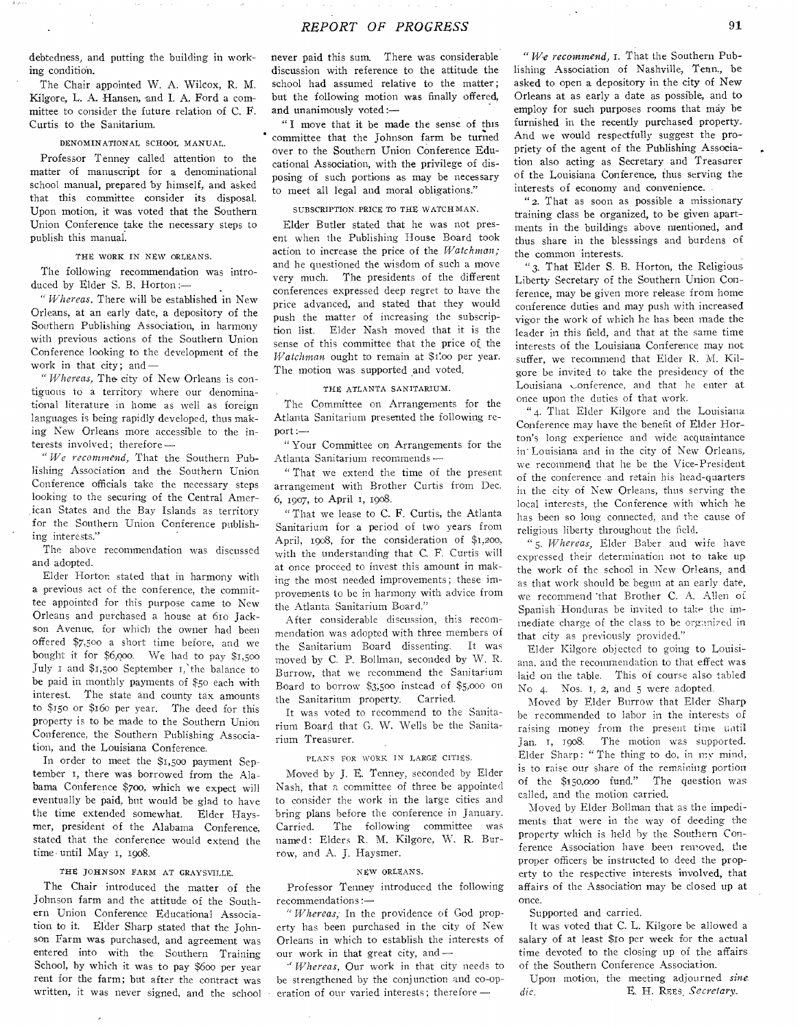debtedness, and putting the building in working condition.

The Chair appointed W. A. Wilcox, R. M. Kilgore, L. A. Hansen, and I. A. Ford a committee to consider the future relation of C. E. Curtis to the Sanitarium.

#### DENOMINATIONAL SCHOOL MANUAL.

Professor Tenney called attention to the matter of manuscript for a denominational school manual, prepared by himself, and asked that this committee consider its disposal. Upon motion, it was voted that the Southern Union Conference take the necessary steps to publish this manual.

#### THE WORK IN NEW ORLEANS.

The following recommendation was introduced by Elder S. B. Horton :—

*"Whereas,* There will be established in New Orleans, at an early date, a depository of the Southern Publishing Association, in harmony with previous actions of the Southern Union Conference looking to the development of the work in that city; and—

" *Whereas,* The. city of New Orleans is contiguous to a territory where our denominational literature in home as well as foreign languages is being rapidly developed, thus making New Orleans more accessible to the interests **involved;** therefore **—** 

**"We** *recommend,* That the Southern Publishing **Association** and the Southern Union Conference officials take the necessary steps looking to the securing of the Central American States and the Bay Islands as territory for the Southern Union Conference publishing interests."

The **above** recommendation **was** discussed and adopted.

Elder **Horton** stated that in harmony with **a** previous **act of the** conference, the committee appointed for **this** purpose came to New Orleans and **purchased a house at 6ro Jackson Avenue, for which the** owner had been offered **\$7,500 a short** time **before, and we**  bought it for **\$6,0oo. We** had **to pay \$1,5oo July i** and \$1,5oo September **the balance to be** paid in monthly payments **of \$50** each with interest. The state **and** county tax amounts to \$150 or \$16o per **year.** The deed for this property is to **be made to** the Southern Union Conference, the Southern Publishing Association, **and the** Louisiana Conference.

In order to meet the \$i,5oo payment September I, there was borrowed from the Alabama Conference **\$700, which we** expect will eventually be paid, but would be glad to have the time extended somewhat. Elder Haysmer, president of the Alabama Conference, stated that the conference would extend the time until May 1, 1908.

#### THE JOHNSON FARM AT GRAYSVILLE.

The Chair introduced the matter of the Johnson farm and the attitude of the Southern Union Conference Educational Association to it. Elder Sharp stated that the Johnson Farm was purchased, and agreement was entered into with the Southern Training School, by which it was to pay \$600 per year rent for the farm; but after the contract was written, it was never signed, and the school **never paid this sum. There was considerable**  discussion with reference to **the attitude the school had assumed** relative **to the matter; but the following** motion was finally offered, and unanimously voted :—

" I move that it be made the sense of this committee **that the Johnson farm be turned**  over to the Southern Union Conference **Educational Association, with the privilege of** disposing of such portions as may be necessary to meet all legal and moral obligations."

#### SUBSCRIPTION. PRICE TO THE WATCHMAN.

Elder Butler stated that he was not present when the Publishing House Board took action to increase the price of the *Watchman;*  and he questioned the wisdom of such a move very much. The presidents of the different conferences expressed deep regret to have the price advanced, and stated that they would push the matter of increasing the subscription list. Elder Nash moved that it is the sense of this committee that the price of the *Watchman* ought to remain at \$1.00 per year. The motion was supported and voted.

#### THE ATLANTA SANITARIUM.

The Committee on Arrangements for the Atlanta Sanitarium presented the following report :—

" Your Committee on Arrangements for the Atlanta Sanitarium recommends **—** 

**" That we** extend the time of the present arrangement with Brother Curtis from Dec. **6,** 1907, to April I, 1908.

"That we lease to C. F. Curtis, the Atlanta Sanitarium for a period of two years from April, 1908, for the consideration of \$1,200, with the understanding that C. F. Curtis will **at** once proceed to invest this amount in **making** the most needed improvements; these improvements to be in harmony with advice from the Atlanta Sanitarium **Board."** 

After considerable discussion, this **recommendation was** adopted with three **members of**  the Sanitarium Board dissenting. **It was moved by** C. **P.** Bollman, seconded **by W. R. Burrow, that we recommend** the **Sanitarium Board** to **borrow \$3;500 instead** of **\$5,000 on the Sanitarium property. Carried.** 

It was **voted to** recommend **to the Sanitarium Board that G.** W. Wells be **the Sanitarium Treasurer.** 

#### PLANS FOR WORK IN LARGE CITIES.

Moved **by J. E. Tenney,** seconded by Elder Nash, that a committee of three be appointed to consider the work in the large cities and bring plans before the conference in January. Carried. The following committee was named : Elders R. M. Kilgore, W. R. Burrow, and A. J. Haysmer.

#### NEW ORLEANS.

Professor Tenney introduced the following recommendations :—

" *Whereas;* In the providence of God property has been purchased in the city of New Orleans in which to establish the interests of our work in that great city, and *—* 

*"Whereas,* Our work in that city needs to be strengthened by the conjunction and co-operation of our varied interests ; **therefore —** 

*"We recommend,* **1. That the Southern Publishing Association** of Nashville, Tenn., be asked to open a depository in **the city of New Orleans at as early a date as possible, and to employ for such purposes rooms that may be furnished in the recently purchased property. And we** would respectfully suggest the propriety of the agent of the Publishing Association also acting as Secretary and Treasurer of the Louisiana Conference, thus serving the interests of economy and convenience.

" 2. That as soon as possible a missionary training class be organized, to be given apartments in the buildings above mentioned, and thus share in the blesssings and burdens of the common interests.

" 3. That Elder S. B. Horton, the Religious Liberty Secretary of the Southern Union Conference, may be given more release from home conference duties and may push with increased vigor the work of which he has **been made** the leader in this field, and that **at the same** time interests of the Louisiana Conference **may** not suffer, we recommend that Elder **R.** M. Kilgore **be invited to take** the **presidency** of the **Louisiana** ..onference, **and that he** enter **at once** upon the **duties of that work.** 

"4. That Elder **Kilgore and** the **Louisiana Conference may have the benefit** of Elder Horton's **long experience and wide** acquaintance in' **Louisiana and** in **the city** of New Orleans, *we* **recommend** that he be the Vice-President **of the** conference .and retain **his** head-quarters **in the city of** New Orleans, **thus** serving **the local interests, the** Conference **with** which **he has** been **so long** connected, **and the** cause of **religious liberty throughout the field.** 

*"5. Whereas,* Elder **Baber and** wife have **expressed their** determination not to take **up the work of** the school **in New** Orleans, and **as that work** should be begun **at an early** date, we recommend that Brother C. A. Allen of **Spanish Honduras be invited to take the im**mediate charge of the class to be organized in that **city as previously provided."** 

**Elder Kilgore objected to going to Louisiana,** and **the recommendation to that effect was**  laid **on the table. This of course also tabled No** 4. Nos. 1, 2, and **5 were adopted.** 

Moved by Elder **Burrow** that **Elder Sharp be recommended** to **labor** in the **interests of raising money from the present time until**  Jan. **1,** 1908. The **motion was supported.**  Elder Sharp: " The thing to do, in my **mind,**  is to **raise** our share of the remaining **portion of the** \$150,000 fund." The question **was**  called, and the motion carried.

Moved by Elder Bollman that as the impediments that were in the way of deeding the property which is held by the Southern Conference Association have been removed, the proper officers be instructed to deed the property to the respective interests involved, that affairs of the Association may be closed up at once.

#### Supported and carried.

it was voted that C. L. Kilgore be allowed a salary of at least \$10 per week for the actual time devoted to the closing up of the affairs of the Southern Conference Association.

Upon motion, the meeting adjourned *sine*  die. E. H. REts, *Secretary.*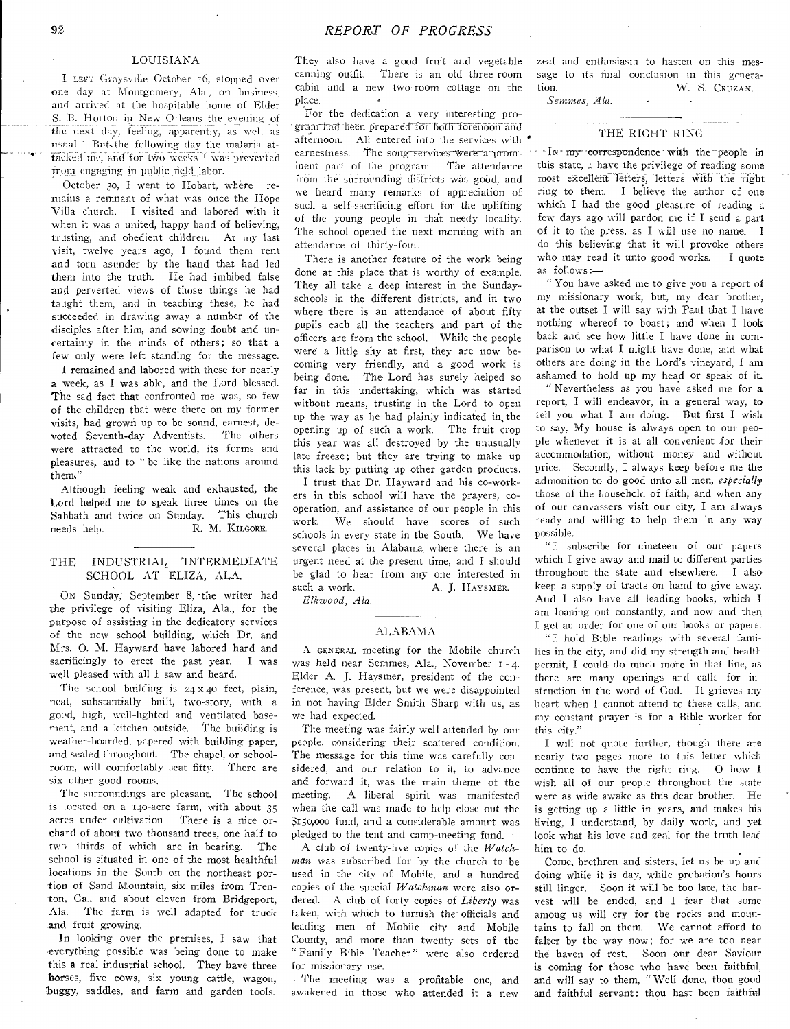### LOUISIANA

I LEFT Graysville October 16, stopped over one day at Montgomery, Ala., on business, and arrived at the hospitable home of Elder S. B. Horton in New Orleans the evening of the next day, feeling, apparently, as well as usual. ' But- the following day the malaria attacked me, and for two weeks I was prevented from engaging in public field labor.

October 30, I went to Hobart, where remains a remnant of what was once the Hope Villa church. I visited and labored with it when it was a united, happy band of believing, trusting, and obedient children. At my last visit, twelve years ago, I found them rent and torn asunder by the hand that had led them into the truth. He had imbibed false and perverted views of those things he had taught them, and in teaching these, he had succeeded in drawing away a number of the disciples after him, and sowing doubt and uncertainty in the minds of others ; so that a few only were left standing for the message.

I remained and labored with these for nearly a week, as I was able, and the Lord blessed. The sad fact that confronted me was, so few of the children that were there on my former visits, had grown up to be sound, earnest, devoted Seventh-day Adventists. The others were attracted to the world, its forms and pleasures, and to " be like the nations around them."

Although feeling weak and exhausted, the Lord helped me to speak three times on the Sabbath and twice on Sunday. This church needs help. R. M. KILGORE.

### THE INDUSTRIAL 'INTERMEDIATE SCHOOL AT ELIZA, ALA.

ON Sunday, September 8, -the writer had the privilege of visiting Eliza, Ala., for the purpose of assisting in the dedicatory services of the new school building, which Dr. and Mrs. 0. M. Hayward have labored hard and sacrificingly to erect the past year. I was well pleased with all I saw and heard.

The school building is  $24 \times 40$  feet, plain, neat, substantially built, two-story, with a good, high, well-lighted and ventilated basement, and a kitchen outside. The building is weather-boarded, papered with building paper, and scaled throughout. The chapel, or schoolroom, will comfortably seat fifty. There are six other good rooms.

The surroundings are pleasant. The school is located on a 140-acre farm, with about 35 acres under cultivation. There is a nice orchard of about two thousand trees, one half to two thirds of which are in bearing. The school is situated in one of the most healthful locations in the South on the northeast portion of Sand Mountain, six miles from Trenton, Ga., and about eleven from Bridgeport, Ala. The farm is well adapted for truck and fruit growing.

In looking over the premises, I saw that everything possible was being done to make this a real industrial school. They have three horses, five cows, six young cattle, wagon, buggy, saddles, and farm and garden tools.

They also have a good fruit and vegetable canning outfit. There is an old three-room cabin and a new two-room cottage on the place.

For the dedication a very interesting program-had been prepared for both forenoon and afternoon. All entered into the services with ' earnestness. --The song services were a prominent part of the program. The attendance from the surrounding districts was good, and we heard many remarks of appreciation of such a self-sacrificing effort for the uplifting of the young people in that needy locality. The school opened the next morning with an attendance of thirty-four.

There is another feature of the work being done at this place that is worthy of example. They all take a deep interest in the Sundayschools in the different districts, and in two where there is an attendance of about fifty pupils each all the teachers and part of the officers are from the school. While the people were a little shy at first, they are now becoming very friendly, and a good work is being done. The Lord has surely helped so far in this undertaking, which was started without means, trusting in the Lord to open up the way as he had plainly indicated in, the opening up of such a work. The fruit crop this year was all destroyed by the unusually late freeze; but they are trying to make up this lack by putting up other garden products.

I trust that Dr. Hayward and his co-workers in this school will have the prayers, cooperation, and assistance of our people in this work. We should have scores of such schools in every state in the South. We have several places in Alabama\_ where there is an urgent need at the present time, and I should be glad to hear from any one interested in such a work. A. J. HAYSMER.

*Elkwood, Ala.* 

#### ALABAMA

A GENERAL meeting for the Mobile church was held near Semmes, Ala., November r - 4. Elder A. J. Haysmer, president of the conference, was present, but we were disappointed in not having Elder Smith Sharp with us, as we had expected.

The meeting was fairly well attended by our people. considering their scattered condition. The message for this time was carefully considered, and our relation to it, to advance and forward it, was the main theme of the meeting. A liberal spirit was manifested when the call was made to help close out the \$15o,000 fund, and a considerable amount was pledged to the tent and camp-meeting fund.

A club of twenty-five copies of the *Watchman* was subscribed for by the church to be used in the city of Mobile, and a hundred copies of the special *Watchman* were also ordered. A club of forty copies of *Liberty* was taken, with which to furnish the officials and leading men of Mobile city and Mobile County, and more than twenty sets of the "Family Bible Teacher" were also ordered for missionary use.

The meeting was a profitable one, and awakened in those who attended it a new

zeal and enthusiasm to hasten on this message to its final conclusion in this generation. W. S. CRUZAN.

*Semmes, Ala.* 

#### THE RIGHT RING

 $-i$ In  $m_y$  correspondence with the people in this state, I have the privilege of reading some most excellent letters, letters with the right ring to them. I believe the author of one which I had the good pleasure of reading a few days ago will pardon me if I send a part of it to the press, as I will use no name. I do this believing that it will provoke others who may read it unto good works. I quote as follows:—

" You have asked me to give you a report of my missionary work, but, my dear brother, at the outset I will say with Paul that I have nothing whereof to boast; and when I look back and see how little I have done in comparison to what I might have done, and what others are doing in the Lord's vineyard, I am ashamed to hold up my head or speak of it.

" Nevertheless as you have asked me for a report, I will endeavor, in a general way, to tell you what I am doing. But first I wish to say, My house is always open to our people whenever it is at all convenient for their accommodation, without money and without price. Secondly, I always keep before me the admonition to do good unto all men, *especially*  those of the household of faith, and when any of our canvassers visit our city, I am always ready and willing to help them in any way possible.

" I subscribe for nineteen of our papers which I give away and mail to different parties throughout the state and elsewhere. I also keep a supply of tracts on hand to give away. And I also have all leading books, which I am loaning out constantly, and now and then I get an order for one of our books or papers.

" I hold Bible readings with several families in the city, and did my strength and health permit, I could. do much more in that line, as there are many openings and calls for instruction in the word of God. It grieves my heart when I cannot attend to these calls, and my constant prayer is for a Bible worker for this city."

I will not quote further, though there are nearly two pages more to this letter which continue to have the right ring. 0 how I wish all of our people throughout the state were as wide awake as this dear brother. He is getting up a little in years, and makes his living, I understand, by daily work, and yet look what his love and zeal for the truth lead him to do.

Come, brethren and sisters, let us be up and doing while it is day, while probation's hours still linger. Soon it will be too late, the harvest will be ended, and I fear that some among us will cry for the rocks and mountains to fall on them. We cannot afford to falter by the way now; for we are too near the haven of rest. Soon our dear Saviour is coming for those who have been faithful, and will say to them, " Well done, thou good and faithful servant: thou hast been faithful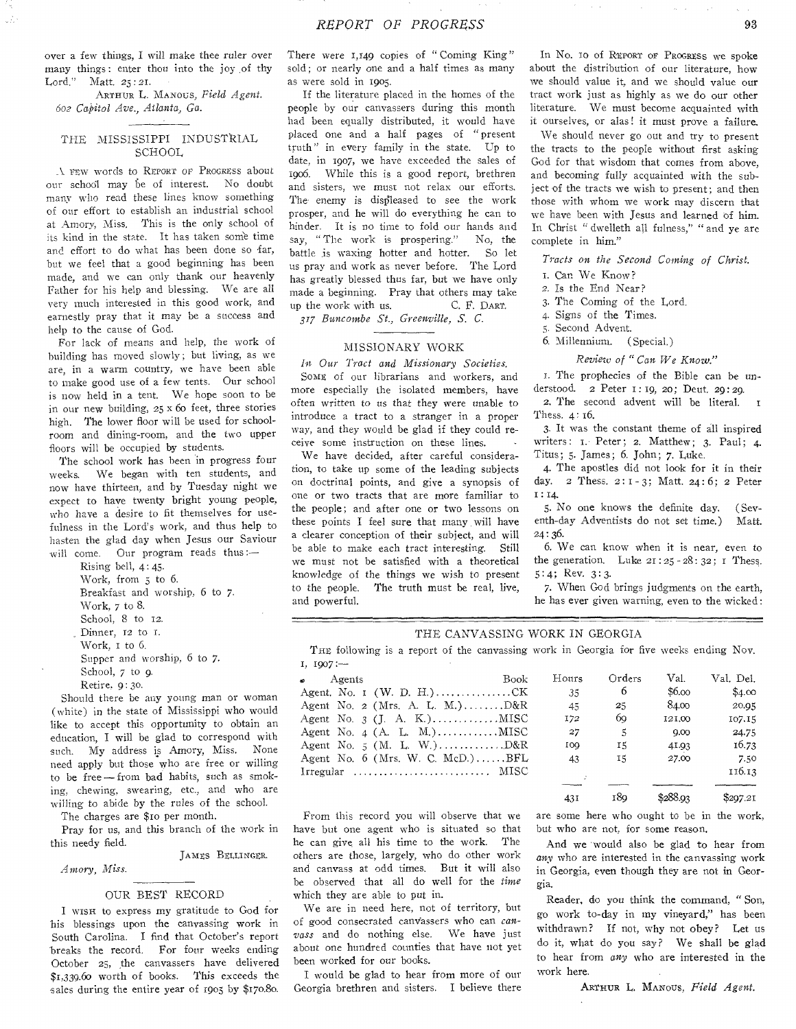over a few things, I will make thee ruler over many things: enter thou into the joy .of thy Lord." Matt. 25:21.

ARTHUR L. MANOUS, *Field Agent. 602 Capitol Ave., Atlanta, Ga.* 

#### THE MISSISSIPPI INDUSTRIAL SCHOOL

A FEW words to REPORT OF PROGRESS about our school may be of interest. No doubt many who read these lines know something of our effort to establish an industrial school at Amory, Miss. This is the only school of its kind in the state. It has taken some time and effort to do what has been done so far, but we feel that a good beginning has been made, and we can only thank our heavenly Father for his help and blessing. We are all very much interested in this good work, and earnestly pray that it may be a success and help to the cause of God.

For lack of means and help, the work of building has moved slowly ; but living, as we are, in a warm country, we have been able to make good use of a few tents. Our school is now held in a tent. We hope soon to be in our new building, 25 x 6o feet, three stories high. The lower floor will be used for schoolroom and dining-room, and the two upper floors will be occupied by students.

The school work has been in progress four weeks. We began with ten students, and now have thirteen, and by Tuesday night we expect to have twenty bright young people, who have a desire to fit themselves for usefulness in the Lord's work, and thus help to hasten the glad day when Jesus our Saviour will come. Our program reads thus:-

> Rising bell, 4:45. Work, from 3 to 6. Breakfast and worship, 6 to 7. Work, 7 to 8. School, 8 to 12. Dinner, **12** to r. Work, i to 6. Supper and worship, 6 to 7. School, *7* to 9. Retire, 9:30.

Should there be any young man or woman (white) in the state of Mississippi who would like to accept this opportunity to obtain an education, I will be glad to correspond with such. My address is Amory, Miss. None need apply but those who are free or willing to be free-from bad habits, such as smoking, chewing, swearing, etc., and who are willing to abide by the rules of the school.

The charges are \$10 per month.

Pray for us, and this branch of the work in this needy field.

JAMES BELLINGER.

*Amory, Miss.* 

#### OUR BEST RECORD

I wisx to express my gratitude to God for his blessings upon the canvassing work in South Carolina. I find that October's report breaks the record. For four weeks ending October 25, the canvassers have delivered \$1,339.60 worth of books. This exceeds the sales during the entire year of 1903 by \$170.80.

There were 1,149 copies of "Coming King" sold; or nearly one and a half times as many as were sold in 1903.

If the literature placed in the homes of the people by our canvassers during this month had been equally distributed, it would have placed one and a half pages of " present truth" in every family in the state. Up to date, in 1907, we have exceeded the sales of 1906. While this is a good report, brethren and sisters, we must not relax our efforts. The enemy is displeased to see the work prosper, and he will do everything he can to hinder. It is no time to fold our hands and say, " The work is prospering." No, the battle is waxing hotter and hotter. So let us pray and work as never before. The Lord has greatly blessed thus far, but we have only made a beginning. Pray that others may take up the work with us. C. F. DART.

*317 Buncombe St., Greenville, S. C.* 

#### MISSIONARY WORK

*In Our Tract and Missionary Societies.* 

SOME of our librarians and workers, and more especially the isolated members, have often written to us that they were unable to introduce a tract to a stranger in a proper *way,* and they would be glad if they could receive some instruction on these lines.

We have decided, after careful consideration, to take up some of the leading subjects on doctrinal points, and give a synopsis of one or two tracts that are more familiar to the people; and after one or two lessons on these points I feel sure that many will have a clearer conception of their subject, and will be able to make each tract interesting. Still we must not be satisfied with a theoretical knowledge of the things we wish to present to the people. The truth must be real, live, and powerful.

In No. 10 Of. REPORT or PROGRESS we spoke about the distribution of our literature, how we should value it, and we should value our tract work just as highly as we do our other literature. We must become acquainted with it ourselves, or alas! it must prove a failure.

We should never go out and try to present the tracts to the people without first asking God for that wisdom that comes from above, and becoming fully acquainted with the subject of the tracts we wish to present; and then those with whom we work may discern that we have been with Jesus and learned of him. In Christ " dwelleth all fulness," " and ye are complete in him."

*Tracts on the Second Coining of Christ.* 

- 1. Can We Know?
- 2. Is the End Near?
- 3. The Coming of the Lord.
- 4. Signs of the Times.
- 3. Second Advent.
- 6. Millennium. (Special.)

#### *Review of "Can We Know."*

I. The prophecies of the Bible can be understood. 2 Peter 1: 19, 20; Deut. 29:29.

2. The second advent will be literal. Thess. 4: 16.

3. It was the constant theme of all inspired writers: I. Peter; 2. Matthew; 3. Paul; 4. Titus; 5. James; 6. John; 7. Luke.

4. The apostles did not look for it in their day. 2 Thess. 2:1-3; Matt. 24:6; 2 Peter  $1:14.$ 

5. No one knows the definite day. (Seventh-day Adventists do not set time.) Matt.  $24:36.$ 

6. We can know when it is near, even to the generation. Luke  $21:25 - 28:32$ ; I Thess. 5:4; Rev.  $3:3$ .

7. When God brings judgments on the earth, he has ever given warning, even to the wicked:

#### THE CANVASSING WORK IN GEORGIA

THE following is a report of the canvassing work in Georgia for five weeks ending Nov.  $I, 1907 :=$ 

| $\bullet$<br>Agents                | <b>Book</b> | Hours      | Orders | Val.   | Val. Del. . |
|------------------------------------|-------------|------------|--------|--------|-------------|
|                                    |             | 35         | -6     | \$6.00 | \$4.00      |
| Agent No. 2 (Mrs. A. L. M.) $D&R$  |             | 45         | 25     | 84.00  | 20.05       |
|                                    |             | I72        | 69     | 121.00 | 107.15      |
|                                    |             | 27         | .5.    | 0.00   | 24.75       |
|                                    |             | <b>LOO</b> | 15     | 41.93  | 16.73       |
| Agent No. $6$ (Mrs. W. C. McD.)BFL |             | 43         | 15     | 27.00  | 7.50        |
| Irregular  MISC                    |             |            |        |        | 116.13      |

431 189 \$288.93 \$297.21

From this record you will observe that we have but one agent who is situated so that he can give all his time to the work. The others are those, largely, who do other work and canvass at odd times. But it will also be observed that all do well for the *time*  which they are able to put in.

We are in need here, not of territory, but of good consecrated canvassers who can *canvass* and do nothing else. We have just about one hundred counties that have not yet been worked for our books.

I would be glad to hear from more of our Georgia brethren and sisters. I believe there are some here who ought to be in the work, but who are not, for some reason.

And we would also be glad to hear from *any* who are interested in the canvassing work in Georgia, even though they are not in Georgia.

Reader, do you think the command, " Son, go work to-day in my vineyard," has been withdrawn? If not, why not obey? Let us do it, what do you say? We shall be glad to hear from *any* who are interested in the work here.

ARTHUR L. MANOUS, Field Agent.

 $\alpha=\alpha-\beta-\alpha$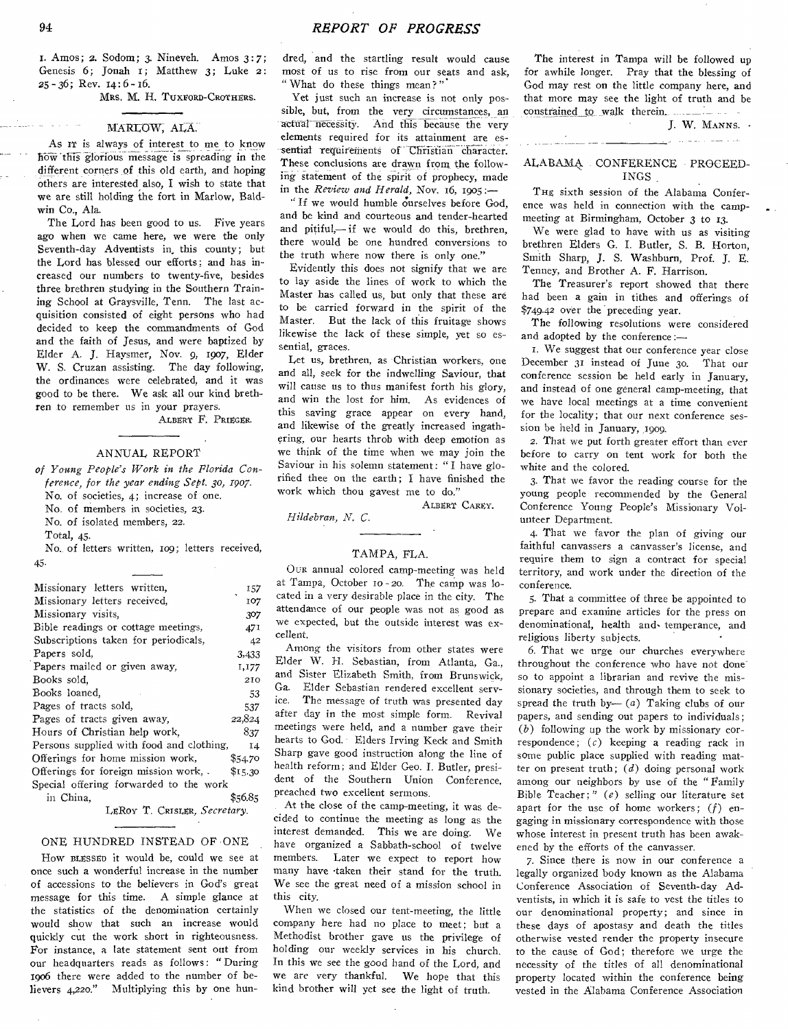1. Amos; 2. Sodom; 3. Nineveh. Amos 3:7; Genesis 6; Jonah 1; Matthew 3; Luke 2:  $25 - 36$ ; Rev.  $14:6 - 16$ .

MRS. M. H. TUXFORD-CROTHERS.

#### MARLOW, ALA.

As IT is always of interest to me to know how this glorious message is spreading in the different corners of this old earth, and hoping others are interested also, I wish to state that we are still holding the fort in Marlow, Baldwin Co., Ala.

The Lord has been good to us. Five years ago when we came here, we were the only Seventh-day Adventists in this county; but the Lord has blessed our efforts; and has increased our numbers to twenty-five, besides three brethren studying in the Southern Training School at Graysville, Tenn. The last acquisition consisted of eight persons who had decided to keep the commandments of God and the faith of Jesus, and were baptized by Elder A. J. Haysmer, Nov. 9, 1907, Elder W. S. Cruzan assisting. The day following, the ordinances were celebrated, and it was good to be there. We ask all our kind brethren to remember us in your prayers.

ALBERT F. PRIEGER.

#### ANNUAL REPORT

*of Young People's Work in the Florida Conference, for the year ending Sept. 3o, 1907.*  No. of societies, 4; increase of one. No. of members in societies, 23. No. of isolated members, 22. Total, 45.

No. of letters written, ro9; letters received,

45.

| Missionary letters written,              | 157     |
|------------------------------------------|---------|
| Missionary letters received,             | 107     |
| Missionary visits.                       | 307     |
| Bible readings or cottage meetings,      | 471     |
| Subscriptions taken for periodicals,     | 42      |
| Papers sold.                             | 3,433   |
| Papers mailed or given away,             | 1,177   |
| Books sold,                              | 210     |
| Books loaned,                            | 53      |
| Pages of tracts sold,                    | 537     |
| Pages of tracts given away,              | 22,824  |
| Hours of Christian help work,            | 837     |
| Persons supplied with food and clothing, | 14      |
| Offerings for home mission work,         | \$54.70 |
| Offerings for foreign mission work,.     | \$15.30 |
| Special offering forwarded to the work   |         |
| in China,                                | \$56.85 |

LERov T. CRISLER, *Secretary.* 

#### ONE HUNDRED INSTEAD OF ONE

How BLESSED it would be, could we see at once such a wonderful increase in the number of accessions to the believers in God's great message for this time. A simple glance at the statistics of the denomination certainly would show that such an increase would quickly cut the work short in righteousness. For instance, a late statement sent out from our headquarters reads as follows: "During 1906 there were added to the number of believers 4,22o." Multiplying this by one hun-

dred, and the startling result would cause most of us to rise from our seats and ask, " What do these things mean?"

Yet just such an increase is not only possible, but, from the very circumstances, an actual necessity. And this because the very elements required for its attainment are essential requirements of Christian character. These conclusions are drawn from the following statement of the spirit of prophecy, made in the *Review and Herald,* Nov. 16, 1905:

"If we would humble ourselves before God, and be kind and courteous and tender-hearted and pitiful,— if we would do this, brethren, there would be one hundred conversions to the truth where now there is only one."

Evidently this does not signify that we are to lay aside the lines of work to which the Master has called us, but only that these are to be carried forward in the spirit of the Master. But the lack of this fruitage shows likewise the lack of these simple, yet so essential, graces.

Let us, brethren, as Christian workers, one and all, seek for the indwelling Saviour, that will cause us to thus manifest forth his glory, and win the lost for him. As evidences of this saving grace appear on every hand, and likewise of the greatly increased ingathering, our hearts throb with deep emotion as we think of the time when we may join the Saviour in his solemn statement: "I have glorified thee on the earth; I have finished the work which thou gayest me to do."

ALBERT CAREY.

*Hildebran, N. C.* 

#### TAMPA, FLA.

OUR annual colored camp-meeting was held at Tampa, October to - 20. The camp was located in a very desirable place in the city. The attendance of our people was not as good as we expected, but the outside interest was excellent.

Among the visitors from other states were Elder W. H. Sebastian, from Atlanta, Ga., and Sister Elizabeth Smith, from Brunswick, Ga. Elder Sebastian rendered excellent serv-<br>ice. The message of truth was presented day The message of truth was presented day after day in the most simple form. Revival meetings were held, and a number gave their hearts to God. Elders Irving Keck and Smith Sharp gave good instruction along the line of health reform; and Elder Geo. I. Butler, president of the Southern Union Conference, preached two excellent sermons.

At the close of the camp-meeting, it was decided to continue the meeting as long as the interest demanded. This we are doing. We have organized a Sabbath-school of twelve members. Later we expect to report how many have -taken their stand for the truth. We see the great need of a mission school in this city.

When we closed our tent-meeting, the little company here had no place to meet; but a Methodist brother gave us the privilege of holding our weekly services in his church. In this we see the good hand of the Lord, and we are very thankful. We hope that this kind brother will yet see the light of truth.

The interest in Tampa will be followed up for awhile longer. Pray that the blessing of God may rest on the little company here, and that more may see the light of truth and be constrained to walk therein.

J. W. MANNS. . د.<br>در مناسبت از به سایر ای<u>زبان</u>

### ALABAMA. CONFERENCE PROCEED-INGS

and the company was a strong

THE sixth session of the Alabama Conference was held in connection with the campmeeting at Birmingham, October 3 to 13.

We were glad to have with us as visiting brethren Elders G. I. Butler, S. B. Horton, Smith Sharp, J. *S.* Washburn, Prof. J. E. Tenney, and Brother A. F. Harrison.

The Treasurer's report showed that there had been a gain in tithes and offerings of \$749.42 over the preceding year.

The following resolutions were considered and adopted by the conference:—

i. We suggest that our conference year close December 31 instead of June 3o. That our conference session be held early in January, and instead of one general camp-meeting, that we have local meetings at a time convenient for the locality; that our next conference session he held in January, 1909.

2. That we put forth greater effort than ever before to carry on tent work for both the white and the colored.

3. That we favor the reading course for the young people recommended by the General Conference Young People's Missionary Volunteer Department.

4. That we favor the plan of giving our faithful canvassers a canvasser's license, and require them to sign a contract for special territory, and work under the direction of the conference.

5. That a committee of three be appointed to prepare and examine articles for the press on denominational, health and- temperance, and religious liberty subjects.

6. That we urge our churches everywhere throughout the conference who have not done so to appoint a librarian and revive the missionary societies, and through them to seek to spread the truth by- $(a)$  Taking clubs of our papers, and sending out papers to individuals; *(b)* following up the work by missionary correspondence; *(c)* keeping a reading rack in some public place supplied with reading matter on present truth; *(d)* doing personal work among our neighbors by use of the " Family Bible Teacher;" *(e)* selling our literature set apart for the use of home workers; *(f)* engaging in missionary correspondence with those whose interest in present truth has been awakened by the efforts of the canvasser.

7. Since there is now in our conference a legally organized body known as the Alabama Conference Association of Seventh-day Adventists, in which it is safe to vest the titles to our denominational property; and since in these days of apostasy and death the titles otherwise vested render the property insecure to the cause of God; therefore we urge the necessity of the titles of all denominational property located within the conference being vested in the Alabama Conference Association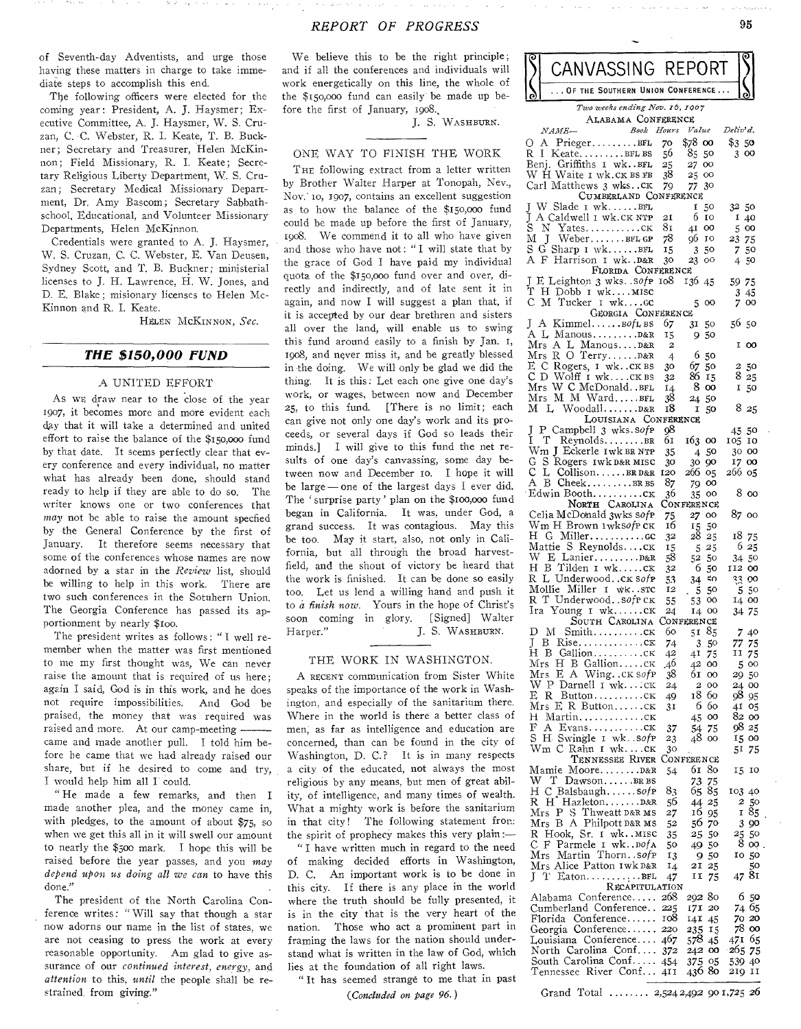of Seventh-day Adventists, and urge those having these matters in charge to take immediate steps to accomplish this end.

The following officers were elected for the coming year: President, A. j. Haysmer; Executive Committee, A. J. Haysmer, W. S. Cruzan, C. C. Webster, R. I. Keate, T. B. Buckner; Secretary and Treasurer, Helen McKinnon; Field Missionary, R. I. Keate; Secretary Religious Liberty Department, W. S. Cruzan; Secretary Medical Missionary Department, Dr. Amy Bascom; Secretary Sabbathschool, Educational, and Volunteer Missionary Departments, Helen McKinnon.

Credentials were granted to A. J. Haysmer, W. S. Cruzan, C. C. Webster, E. Van Deusen, Sydney Scott, and T. B. Buckner; ministerial licenses to J. H. Lawrence, H. W. Jones, and D. E. Blake; misionary licenses to Helen Mc-Kinnon and R. I. Keate.

HELEN McKINNoN, *Sec.* 

#### *THE \$150,000 FUND*

#### A UNITED EFFORT

As wE draw near to the close of the year 1907, it becomes more and more evident each day that it will take a determined and united effort to raise the balance of the \$150,000 fund by that date. It seems perfectly clear that every conference and every individual, no matter what has already been done, should stand ready to help if they are able to do so. The writer knows one or two conferences that *may* not be able to raise the amount specfied by the General Conference by the first of January. It therefore seems necessary that some of the conferences whose names are now adorned by a star in the *Review* list, should be willing to help in this work. There are two such conferences in the Sotuhern Union. The Georgia Conference has passed its apportionment by nearly \$100.

The president writes as follows : " I well remember when the matter was first mentioned to me my first thought was, We can never raise the amount that is required of us here; again I said, God is in this work, and he does not require impossibilities. And God be praised, the money that was required was raised and more. At our camp-meeting came and made another pull. I told him before he came that we had already raised our share, but if he desired to come and try, I would help him all I could.

" He made a few remarks, and then I made another plea, and the money came in, with pledges, to the amount of about \$75, so when we get this all in it will swell our amount to nearly the \$500 mark. I hope this will be raised before the year passes, and you *may depend upon us doing all we can* to have this done."

The president of the North Carolina Conference writes: "Will say that though a star now adorns our name in the list of states, we are not ceasing to press the work at every reasonable opportunity. Am glad to give assurance of our *continued interest, energy,* and *attention* to this, *until* the people shall be restrained. from giving."

We believe this to be the right principle; and if all the conferences and individuals will work energetically on this line, the whole of the \$150,000 fund can easily be made up before the first of January, 1908.,

J. S. WASHBURN.

#### ONE WAY TO FINISH THE WORK

THE following extract from a letter written by Brother Walter Harper at Tonopah, Nev., Nov.' to, 1907, contains an excellent suggestion as to how the balance of the \$150,o00 fund could be made up before the first of January, 1908. We commend it to all who have given and those who have not: " I will state that by the grace of God I have paid my individual quota of the \$150,00o fund over and over, directly and indirectly, and of late sent it in again, and now I will suggest a plan that, if it is accepted by our dear brethren and sisters all over the land, will enable us to swing this fund around easily to a finish by Jan. 1, 1908, and never miss it, and be greatly blessed in the doing. We will only be glad we did the thing. It is this: Let each one give one day's work, or wages, between now and December 25, to this fund. [There is no limit; each can give not only one day's work and its proceeds, or several days if God so leads their minds.] I will give to this fund the net results of one day's canvassing, some day between now and December 1o. I hope it will be large — one of the largest days I ever did. The 'surprise party' plan on the \$100,000 fund began in California. It was, under God, a grand success. It was contagious. May this be too. May it start, also, not only in California, but all through the broad harvestfield, and the shout of victory be heard that the work is finished. It can be done so easily too. Let us lend a willing hand and push it to *a finish now.* Yours in the hope of Christ's soon coming in glory. [Signed] Walter Harper." J. S. WASHBURN.

#### THE WORK IN WASHINGTON.

A RECENT communication from Sister White speaks of the importance of the work in Washington, and especially of the sanitarium there. Where in the world is there a better class of men, as far as intelligence and education are concerned, than can be found in the city of Washington, D. C.? It is in many respects a city of the educated, not always the most religious by any means, but men of great ability, of intelligence, and many times of wealth. What a mighty work is before the sanitarium in that city! The following statement fror.: the spirit of prophecy makes this very plain:—

" I have written much in regard to the need of making decided efforts in Washington, D. C. An important work is to be done in this city. If there is any place in the world where the truth should be fully presented, it is in the city that is the very heart of the nation. Those who act a prominent part in framing the laws for the nation should understand what is written in the law of God, which lies at the foundation of all right laws.

" It has seemed strange to me that in past

*(Concluded on page 96.)* 

| ୧                                                    | CANVASSING REPORT                                                          |             |                               |                      |  |  |  |  |
|------------------------------------------------------|----------------------------------------------------------------------------|-------------|-------------------------------|----------------------|--|--|--|--|
|                                                      | . . OF THE SOUTHERN UNION CONFERENCE                                       |             |                               |                      |  |  |  |  |
| Two weeks ending Nov. 16, 1907<br>ALABAMA CONFERENCE |                                                                            |             |                               |                      |  |  |  |  |
|                                                      | Book Hours<br><i>NAME-</i>                                                 |             | Value                         | Deliv'd.             |  |  |  |  |
| О<br>R.                                              | A PriegerBFL<br>$K$ eate $BFL$ BS<br>$\perp$                               | 70<br>56    | \$78<br>oo<br>85<br>50        | \$350<br>300         |  |  |  |  |
|                                                      | Benj. Griffiths I wk.BFL                                                   | 25          | 27<br>oo                      |                      |  |  |  |  |
|                                                      | W H Waite 1 wk.ck BS FB                                                    | 38          | 25<br>oo                      |                      |  |  |  |  |
|                                                      | Carl Matthews 3 wksck<br>CUMBERLAND CONFERENCE                             | 79          | 30 <sup>°</sup><br>77         |                      |  |  |  |  |
| L                                                    | W Slade I wkBFL                                                            |             | 1<br>50<br>6<br>10            | 32 50                |  |  |  |  |
| J<br>S                                               | A Caldwell I wk.CK NTP<br>$\mathbf N$<br>YatesCK                           | 21<br>81    | oo<br>4I                      | 1<br>40<br>5<br>oo   |  |  |  |  |
| М                                                    | Weber. BFLGP<br>J<br>S G Sharp I wkBFL                                     | 78          | о6<br>10                      | 23 75                |  |  |  |  |
|                                                      | A F Harrison 1 wk. D&R                                                     | 15<br>30    | 50<br>3<br>23<br>oo           | 50<br>7.<br>4<br>-50 |  |  |  |  |
|                                                      | FLORIDA CONFERENCE<br>J E Leighton 3 wks. . sofp                           |             |                               |                      |  |  |  |  |
| Τ                                                    | H Dobb I wkMISC                                                            | 108         | 136 45                        | 59 75<br>45<br>3     |  |  |  |  |
| С                                                    | M Tucker I wkGC                                                            |             | 5<br>oo                       | 7<br>oo              |  |  |  |  |
| J.                                                   | GEORGIA CONFERENCE<br>A<br>$Kimmel. \ldots.$ $B$ <i>of</i> L <sub>BS</sub> | 67          | 50<br>31                      | 56 50                |  |  |  |  |
|                                                      | A L ManousD&R                                                              | 15          | 50<br>9.                      |                      |  |  |  |  |
|                                                      | Mrs A L ManousD&R<br>Mrs R O TerryD&R                                      | 2<br>4      | 6<br>50                       | I<br>00              |  |  |  |  |
|                                                      | E C Rogers, 1 wkck BS                                                      | 30          | 67<br>50                      | 2 50                 |  |  |  |  |
| C                                                    | D Wolff I wkCKBS<br>Mrs W C McDonaldBFL                                    | 32<br>14    | 86 15<br>8<br>oo              | 825<br>I<br>50       |  |  |  |  |
|                                                      | Mrs M M WardBFL                                                            | 38          | 24 50                         |                      |  |  |  |  |
| м                                                    | L WoodallD&R<br>LOUISIANA CONFERENCE                                       | 18          | Ι.<br>50                      | 825                  |  |  |  |  |
| Ĵ                                                    | P Campbell 3 wks.sofp                                                      | 98          |                               | 45 50                |  |  |  |  |
|                                                      | I T ReynoldsBR<br>Wm J Eckerle 1wk BR NTP                                  | 61<br>35    | 163 00<br>450                 | 105.<br>10<br>30 00  |  |  |  |  |
| G                                                    | S Rogers Iwk D&R MISC                                                      | 30          | 30 <sup>°</sup><br>90         | 17 00                |  |  |  |  |
| С<br>A                                               | L CollisonBRD&R<br>B CheekBR BS                                            | 120<br>87   | 266<br>$_{05}$<br>79 00       | 266 05               |  |  |  |  |
|                                                      | Edwin Boothcĸ                                                              | 36          | oo<br>35                      | 8 00                 |  |  |  |  |
|                                                      | NORTH CAROLINA<br>Celia McDonald 3wks sofp                                 |             | Conference<br>27<br>oo        | 87 00                |  |  |  |  |
|                                                      | Wm H Brown 1wks <i>of</i> рск                                              | 75<br>16    | 15<br>50                      |                      |  |  |  |  |
|                                                      | H G Millerco<br>Mattie S Reynoldscĸ                                        | 32          | 28<br>25                      | 18 75<br>6 25        |  |  |  |  |
|                                                      | W E Lanier D&R                                                             | 15<br>58    | 525<br>52 50                  | 34 50                |  |  |  |  |
|                                                      | H B Tilden I wkCK<br>R L Underwoodck Sofp                                  | 32          | 6<br>50<br>≾ດ                 | 112 00<br>33.00      |  |  |  |  |
|                                                      | Mollie Miller I wk. src                                                    | 53<br>12    | 34<br>50<br>$\sqrt{5}$        | 550                  |  |  |  |  |
|                                                      | R T Underwood. . sofr CK<br>Ira Young 1 wkCK                               | 55<br>24    | 53<br>oo<br>14<br>$\infty$    | 14 00                |  |  |  |  |
|                                                      | SOUTH CAROLINA                                                             |             | CONFERENCE                    | 34 75                |  |  |  |  |
| D<br>L                                               | Smithck<br>М<br>$Rise.$ $c\kappa$<br>В                                     | 60<br>74    | 85<br>51<br>3                 | 7<br>40<br>77 75     |  |  |  |  |
| Η                                                    | GallionCK<br>-B                                                            | 42          | 50<br>41<br>75                | 75<br>11             |  |  |  |  |
|                                                      | Mrs Н В Gallionск<br>E A Wing. . CK SofP                                   | .46         | 42<br>oo                      | 5<br>$^{oo}$         |  |  |  |  |
|                                                      | Mrs<br>W P Darnell 1 wk…∶cк                                                | 38<br>24    | 61<br>$\infty$<br>2<br>oo     | 2950<br>24 00        |  |  |  |  |
|                                                      | E R Buttoncк<br>Mrs E R Buttonck                                           | 49          | 18<br>60<br>6<br>60           | 9895<br>41           |  |  |  |  |
| Η                                                    | $Martin$ $CK$                                                              | 31          | 45<br>oo                      | 05<br>82 00          |  |  |  |  |
| F<br>S                                               | H. Swingle I wk. . sofp                                                    | 37          | 54<br>75<br>oo                | 98 25<br>15 00       |  |  |  |  |
|                                                      | Wm C Rahn 1 wkck                                                           | 23<br>30    | 48                            | 51<br>75             |  |  |  |  |
|                                                      | TENNESSEE RIVER<br>Mamie MooreD&R                                          | 54          | <b>CONFERENCE</b><br>80<br>6I | 15<br>10             |  |  |  |  |
|                                                      | W T DawsonBRBS                                                             |             | 73<br>75                      |                      |  |  |  |  |
|                                                      | H C Balsbaughsofp<br>H HazletonD&R                                         | 83          | 65<br>85                      | 103 40               |  |  |  |  |
| R.                                                   | Mrs P S Thweatt D&R MS                                                     | 56<br>27    | 25<br>44<br>16<br>95          | 50<br>2<br>85<br>r   |  |  |  |  |
|                                                      | Mrs B A Philpott D&R MS                                                    | 52          | 56.<br>70                     | 3 9 0                |  |  |  |  |
|                                                      | R Hook, Sr. 1 wkmisc<br>C F Parmele I wkDofA                               | 35<br>50    | 25<br>50<br>50<br>49          | 25<br>50<br>8<br>OO. |  |  |  |  |
|                                                      | Mrs Martin Thorn. . sofp                                                   | 13          | 50<br>9.                      | 50<br>10             |  |  |  |  |
|                                                      | Mrs Alice Patton 1wk D&R<br>JТ<br>$Eaton \ldots \ldots \ldots BEL$         | $I_4$<br>47 | 21<br>25<br>11<br>75          | 50<br>81<br>47       |  |  |  |  |
| RECAPITULATION                                       |                                                                            |             |                               |                      |  |  |  |  |
|                                                      | Alabama Conference<br>Cumberland Conference                                | 268<br>225  | 292 80<br>171<br>20           | 6<br>50<br>74 65     |  |  |  |  |
|                                                      | Florida Conference                                                         | 108         | 14 <b>1</b><br>45             | 7020                 |  |  |  |  |
|                                                      | Georgia Conference<br>Louisiana Conference                                 | 220<br>467  | 235<br>15<br>578<br>45        | 78 00<br>471 65      |  |  |  |  |
|                                                      | North Carolina Conf                                                        | 372         | 242 00                        | $-265, 75$           |  |  |  |  |
|                                                      | South Carolina Conf<br>Tennessee River Conf                                | 454<br>41 I | 375<br>-05<br>436 80          | 539 40<br>219 11     |  |  |  |  |

Grand Total 2,524 2,492 901,725 *26*